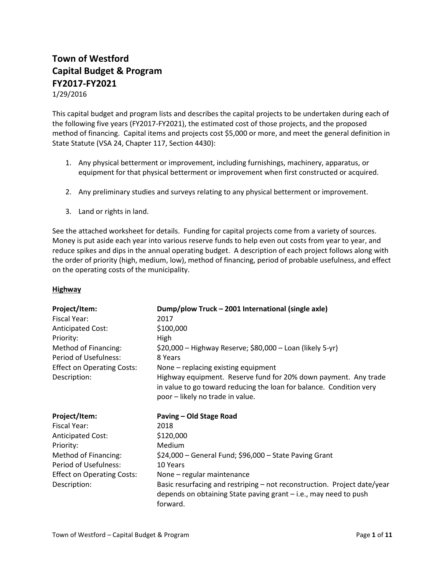## **Town of Westford Capital Budget & Program FY2017-FY2021**

1/29/2016

This capital budget and program lists and describes the capital projects to be undertaken during each of the following five years (FY2017-FY2021), the estimated cost of those projects, and the proposed method of financing. Capital items and projects cost \$5,000 or more, and meet the general definition in State Statute (VSA 24, Chapter 117, Section 4430):

- 1. Any physical betterment or improvement, including furnishings, machinery, apparatus, or equipment for that physical betterment or improvement when first constructed or acquired.
- 2. Any preliminary studies and surveys relating to any physical betterment or improvement.
- 3. Land or rights in land.

See the attached worksheet for details. Funding for capital projects come from a variety of sources. Money is put aside each year into various reserve funds to help even out costs from year to year, and reduce spikes and dips in the annual operating budget. A description of each project follows along with the order of priority (high, medium, low), method of financing, period of probable usefulness, and effect on the operating costs of the municipality.

### **Highway**

| Project/Item:                     | Dump/plow Truck - 2001 International (single axle)                                                                                                                         |
|-----------------------------------|----------------------------------------------------------------------------------------------------------------------------------------------------------------------------|
| <b>Fiscal Year:</b>               | 2017                                                                                                                                                                       |
| <b>Anticipated Cost:</b>          | \$100,000                                                                                                                                                                  |
| Priority:                         | High                                                                                                                                                                       |
| Method of Financing:              | \$20,000 - Highway Reserve; \$80,000 - Loan (likely 5-yr)                                                                                                                  |
| Period of Usefulness:             | 8 Years                                                                                                                                                                    |
| <b>Effect on Operating Costs:</b> | None – replacing existing equipment                                                                                                                                        |
| Description:                      | Highway equipment. Reserve fund for 20% down payment. Any trade<br>in value to go toward reducing the loan for balance. Condition very<br>poor - likely no trade in value. |
| Project/Item:                     | Paving - Old Stage Road                                                                                                                                                    |
| Fiscal Year:                      | 2018                                                                                                                                                                       |
| <b>Anticipated Cost:</b>          | \$120,000                                                                                                                                                                  |
| Priority:                         | Medium                                                                                                                                                                     |
| Method of Financing:              | \$24,000 - General Fund; \$96,000 - State Paving Grant                                                                                                                     |
| Period of Usefulness:             | 10 Years                                                                                                                                                                   |
| <b>Effect on Operating Costs:</b> | None - regular maintenance                                                                                                                                                 |
| Description:                      | Basic resurfacing and restriping – not reconstruction. Project date/year                                                                                                   |
|                                   | depends on obtaining State paving grant $-$ i.e., may need to push<br>forward.                                                                                             |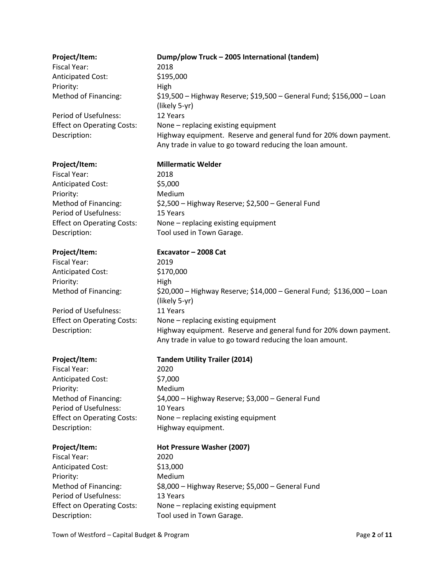| Project/Item:                     | Dump/plow Truck - 2005 International (tandem)                                                                                  |
|-----------------------------------|--------------------------------------------------------------------------------------------------------------------------------|
| <b>Fiscal Year:</b>               | 2018                                                                                                                           |
| <b>Anticipated Cost:</b>          | \$195,000                                                                                                                      |
| Priority:                         | High                                                                                                                           |
| Method of Financing:              | \$19,500 - Highway Reserve; \$19,500 - General Fund; \$156,000 - Loan<br>(likely 5-yr)                                         |
| Period of Usefulness:             | 12 Years                                                                                                                       |
| <b>Effect on Operating Costs:</b> | None - replacing existing equipment                                                                                            |
| Description:                      | Highway equipment. Reserve and general fund for 20% down payment.<br>Any trade in value to go toward reducing the loan amount. |
| Project/Item:                     | <b>Millermatic Welder</b>                                                                                                      |
| <b>Fiscal Year:</b>               | 2018                                                                                                                           |
| Anticipated Cost:                 | \$5,000                                                                                                                        |
| Priority:                         | Medium                                                                                                                         |
| Method of Financing:              | \$2,500 - Highway Reserve; \$2,500 - General Fund                                                                              |
| Period of Usefulness:             | 15 Years                                                                                                                       |
| <b>Effect on Operating Costs:</b> | None - replacing existing equipment                                                                                            |
| Description:                      | Tool used in Town Garage.                                                                                                      |
| Project/Item:                     | Excavator - 2008 Cat                                                                                                           |
| <b>Fiscal Year:</b>               | 2019                                                                                                                           |
| <b>Anticipated Cost:</b>          | \$170,000                                                                                                                      |
| Priority:                         | High                                                                                                                           |
| Method of Financing:              | \$20,000 - Highway Reserve; \$14,000 - General Fund; \$136,000 - Loan<br>(likely 5-yr)                                         |
| Period of Usefulness:             | 11 Years                                                                                                                       |
| <b>Effect on Operating Costs:</b> | None - replacing existing equipment                                                                                            |
| Description:                      | Highway equipment. Reserve and general fund for 20% down payment.<br>Any trade in value to go toward reducing the loan amount. |
| Project/Item:                     | <b>Tandem Utility Trailer (2014)</b>                                                                                           |
| <b>Fiscal Year:</b>               | 2020                                                                                                                           |
| <b>Anticipated Cost:</b>          | \$7,000                                                                                                                        |
| Priority:                         | Medium                                                                                                                         |
| Method of Financing:              | \$4,000 - Highway Reserve; \$3,000 - General Fund                                                                              |
| Period of Usefulness:             | 10 Years                                                                                                                       |
| <b>Effect on Operating Costs:</b> | None - replacing existing equipment                                                                                            |
| Description:                      | Highway equipment.                                                                                                             |
| Project/Item:                     | Hot Pressure Washer (2007)                                                                                                     |
| <b>Fiscal Year:</b>               | 2020                                                                                                                           |
| <b>Anticipated Cost:</b>          | \$13,000                                                                                                                       |
| Priority:                         | Medium                                                                                                                         |
| Method of Financing:              | \$8,000 - Highway Reserve; \$5,000 - General Fund                                                                              |
| Period of Usefulness:             | 13 Years                                                                                                                       |
| <b>Effect on Operating Costs:</b> | None - replacing existing equipment                                                                                            |
| Description:                      | Tool used in Town Garage.                                                                                                      |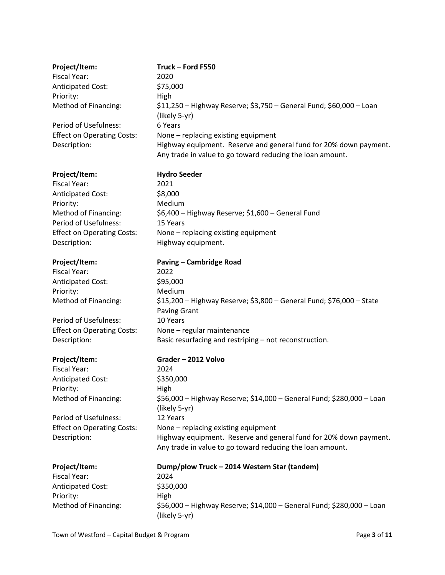| Project/Item:                     | Truck - Ford F550                                                                                                              |
|-----------------------------------|--------------------------------------------------------------------------------------------------------------------------------|
| <b>Fiscal Year:</b>               | 2020                                                                                                                           |
| <b>Anticipated Cost:</b>          | \$75,000                                                                                                                       |
| Priority:                         | High                                                                                                                           |
| Method of Financing:              | \$11,250 - Highway Reserve; \$3,750 - General Fund; \$60,000 - Loan<br>(likely 5-yr)                                           |
| Period of Usefulness:             | 6 Years                                                                                                                        |
| <b>Effect on Operating Costs:</b> | None - replacing existing equipment                                                                                            |
| Description:                      | Highway equipment. Reserve and general fund for 20% down payment.<br>Any trade in value to go toward reducing the loan amount. |
| Project/Item:                     | <b>Hydro Seeder</b>                                                                                                            |
| Fiscal Year:                      | 2021                                                                                                                           |
| <b>Anticipated Cost:</b>          | \$8,000                                                                                                                        |
| Priority:                         | Medium                                                                                                                         |
| Method of Financing:              | \$6,400 - Highway Reserve; \$1,600 - General Fund                                                                              |
| Period of Usefulness:             | 15 Years                                                                                                                       |
| <b>Effect on Operating Costs:</b> | None - replacing existing equipment                                                                                            |
| Description:                      | Highway equipment.                                                                                                             |
| Project/Item:                     | <b>Paving - Cambridge Road</b>                                                                                                 |
| <b>Fiscal Year:</b>               | 2022                                                                                                                           |
| <b>Anticipated Cost:</b>          | \$95,000                                                                                                                       |
| Priority:                         | Medium                                                                                                                         |
| Method of Financing:              | \$15,200 - Highway Reserve; \$3,800 - General Fund; \$76,000 - State<br><b>Paving Grant</b>                                    |
| Period of Usefulness:             | 10 Years                                                                                                                       |
| <b>Effect on Operating Costs:</b> | None - regular maintenance                                                                                                     |
| Description:                      | Basic resurfacing and restriping - not reconstruction.                                                                         |
| Project/Item:                     | Grader - 2012 Volvo                                                                                                            |
| <b>Fiscal Year:</b>               | 2024                                                                                                                           |
| <b>Anticipated Cost:</b>          | \$350,000                                                                                                                      |
| Priority:                         | High                                                                                                                           |
| Method of Financing:              | \$56,000 - Highway Reserve; \$14,000 - General Fund; \$280,000 - Loan<br>(likely 5-yr)                                         |
| Period of Usefulness:             | 12 Years                                                                                                                       |
| <b>Effect on Operating Costs:</b> | None - replacing existing equipment                                                                                            |
| Description:                      | Highway equipment. Reserve and general fund for 20% down payment.<br>Any trade in value to go toward reducing the loan amount. |
| Project/Item:                     | Dump/plow Truck - 2014 Western Star (tandem)                                                                                   |
| <b>Fiscal Year:</b>               | 2024                                                                                                                           |
| <b>Anticipated Cost:</b>          | \$350,000                                                                                                                      |
| Priority:                         | High                                                                                                                           |
| Method of Financing:              | \$56,000 - Highway Reserve; \$14,000 - General Fund; \$280,000 - Loan<br>(likely 5-yr)                                         |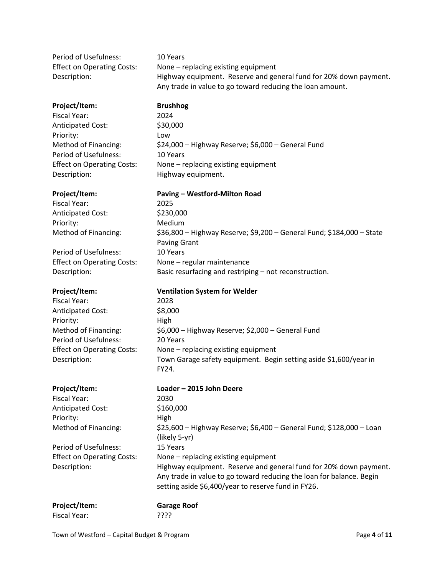| Period of Usefulness:             | 10 Years                                                          |
|-----------------------------------|-------------------------------------------------------------------|
| <b>Effect on Operating Costs:</b> | None $-$ replacing existing equipment                             |
| Description:                      | Highway equipment. Reserve and general fund for 20% down payment. |
|                                   | Any trade in value to go toward reducing the loan amount.         |

### **Project/Item: Brushhog**

Fiscal Year: 2024 Anticipated Cost: \$30,000 Priority: Low Period of Usefulness: 10 Years Description: Highway equipment.

Method of Financing:  $$24,000 -$  Highway Reserve; \$6,000 – General Fund Effect on Operating Costs: None – replacing existing equipment

### **Project/Item: Paving – Westford-Milton Road**

Fiscal Year: 2025 Anticipated Cost: \$230,000 Priority: Medium

Period of Usefulness: 10 Years

Fiscal Year: 2028 Anticipated Cost: \$8,000 Priority: High Period of Usefulness: 20 Years

Fiscal Year: 2030 Anticipated Cost: \$160,000 Priority: High

Period of Usefulness: 15 Years

Method of Financing: \$36,800 – Highway Reserve; \$9,200 – General Fund; \$184,000 – State Paving Grant Effect on Operating Costs: None – regular maintenance Description: Basic resurfacing and restriping – not reconstruction.

### **Project/Item: Ventilation System for Welder**

Method of Financing: \$6,000 – Highway Reserve; \$2,000 – General Fund Effect on Operating Costs: None – replacing existing equipment Description: Town Garage safety equipment. Begin setting aside \$1,600/year in FY24.

## **Project/Item: Loader – 2015 John Deere**

Method of Financing: \$25,600 – Highway Reserve; \$6,400 – General Fund; \$128,000 – Loan (likely 5-yr) Effect on Operating Costs: None – replacing existing equipment Description: Highway equipment. Reserve and general fund for 20% down payment. Any trade in value to go toward reducing the loan for balance. Begin setting aside \$6,400/year to reserve fund in FY26.

| Project/Item: | <b>Garage Roof</b> |
|---------------|--------------------|
| Fiscal Year:  | ַיִּיִיִּי         |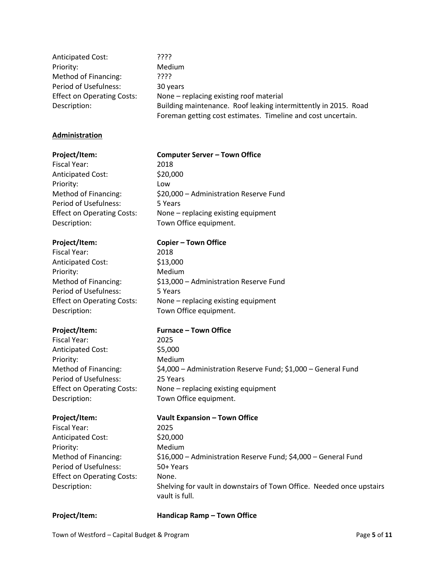| <b>Anticipated Cost:</b>          | ????                                                            |
|-----------------------------------|-----------------------------------------------------------------|
| Priority:                         | Medium                                                          |
| Method of Financing:              | ????                                                            |
| Period of Usefulness:             | 30 years                                                        |
| <b>Effect on Operating Costs:</b> | None – replacing existing roof material                         |
| Description:                      | Building maintenance. Roof leaking intermittently in 2015. Road |
|                                   | Foreman getting cost estimates. Timeline and cost uncertain.    |

### **Administration**

### **Project/Item: Computer Server – Town Office**

Fiscal Year: 2018 Anticipated Cost: \$20,000 Priority: Low Period of Usefulness: 5 Years Description: Town Office equipment.

Fiscal Year: 2018 Anticipated Cost: \$13,000 Priority: Medium Period of Usefulness: 5 Years Description: Town Office equipment.

Fiscal Year: 2025 Anticipated Cost: \$5,000 Priority: Medium Period of Usefulness: 25 Years Description: Town Office equipment.

Fiscal Year: 2025 Anticipated Cost: \$20,000 Priority: Medium Period of Usefulness: 50+ Years Effect on Operating Costs: None.

# Method of Financing:  $$20,000 -$  Administration Reserve Fund Effect on Operating Costs: None – replacing existing equipment

### **Project/Item: Copier – Town Office**

Method of Financing: \$13,000 – Administration Reserve Fund Effect on Operating Costs: None – replacing existing equipment

### **Project/Item: Furnace – Town Office**

Method of Financing: \$4,000 – Administration Reserve Fund; \$1,000 – General Fund Effect on Operating Costs: None – replacing existing equipment

### **Project/Item: Vault Expansion – Town Office**

Method of Financing: \$16,000 – Administration Reserve Fund; \$4,000 – General Fund Description: Shelving for vault in downstairs of Town Office. Needed once upstairs vault is full.

**Project/Item: Handicap Ramp – Town Office**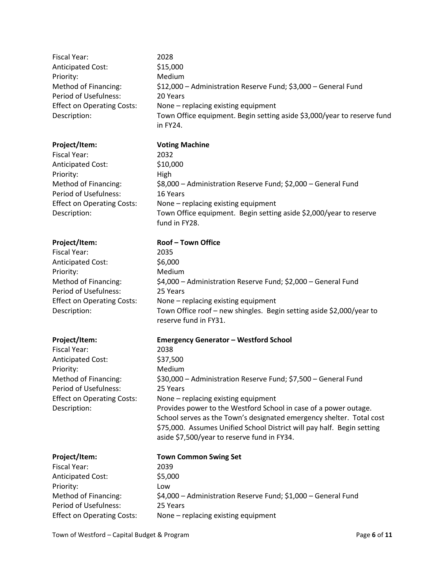| Fiscal Year:                      | 2028                                                                    |
|-----------------------------------|-------------------------------------------------------------------------|
| <b>Anticipated Cost:</b>          | \$15,000                                                                |
| Priority:                         | <b>Medium</b>                                                           |
| Method of Financing:              | \$12,000 - Administration Reserve Fund; \$3,000 - General Fund          |
| Period of Usefulness:             | 20 Years                                                                |
| <b>Effect on Operating Costs:</b> | None – replacing existing equipment                                     |
| Description:                      | Town Office equipment. Begin setting aside \$3,000/year to reserve fund |
|                                   | in FY24.                                                                |
|                                   |                                                                         |

**Project/Item: Voting Machine**

fund in FY28.

2035  $$6,000$ Medium

25 Years

reserve fund in FY31.

Fiscal Year: 2032 Anticipated Cost: \$10,000 Priority: High Method of Financing: \$8,000 – Administration Reserve Fund; \$2,000 – General Fund Period of Usefulness: 16 Years Effect on Operating Costs: None – replacing existing equipment Description: Town Office equipment. Begin setting aside \$2,000/year to reserve

### **Project/Item: Roof – Town Office**

| Fiscal Year:                      |
|-----------------------------------|
| <b>Anticipated Cost:</b>          |
| Priority:                         |
| Method of Financing:              |
| Period of Usefulness:             |
| <b>Effect on Operating Costs:</b> |
| Description:                      |

Fiscal Year: 2038 Anticipated Cost: \$37,500 Priority: Medium Period of Usefulness: 25 Years

**Project/Item: Emergency Generator – Westford School**

None – replacing existing equipment

Method of Financing: \$30,000 – Administration Reserve Fund; \$7,500 – General Fund Effect on Operating Costs: None – replacing existing equipment Description: Provides power to the Westford School in case of a power outage. School serves as the Town's designated emergency shelter. Total cost \$75,000. Assumes Unified School District will pay half. Begin setting aside \$7,500/year to reserve fund in FY34.

\$4,000 – Administration Reserve Fund; \$2,000 – General Fund

Town Office roof – new shingles. Begin setting aside \$2,000/year to

| Project/Item:                     | <b>Town Common Swing Set</b>                                  |
|-----------------------------------|---------------------------------------------------------------|
| Fiscal Year:                      | 2039                                                          |
| <b>Anticipated Cost:</b>          | \$5,000                                                       |
| Priority:                         | Low                                                           |
| Method of Financing:              | \$4,000 - Administration Reserve Fund; \$1,000 - General Fund |
| Period of Usefulness:             | 25 Years                                                      |
| <b>Effect on Operating Costs:</b> | None - replacing existing equipment                           |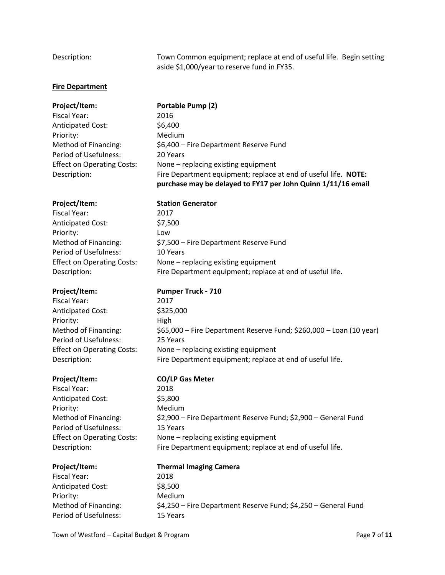Description: Town Common equipment; replace at end of useful life. Begin setting aside \$1,000/year to reserve fund in FY35.

### **Fire Department**

| Project/Item:                     | Portable Pump (2)                                                                                                               |
|-----------------------------------|---------------------------------------------------------------------------------------------------------------------------------|
| Fiscal Year:                      | 2016                                                                                                                            |
| <b>Anticipated Cost:</b>          | \$6,400                                                                                                                         |
| Priority:                         | Medium                                                                                                                          |
| Method of Financing:              | \$6,400 - Fire Department Reserve Fund                                                                                          |
| Period of Usefulness:             | 20 Years                                                                                                                        |
| <b>Effect on Operating Costs:</b> | None - replacing existing equipment                                                                                             |
| Description:                      | Fire Department equipment; replace at end of useful life. NOTE:<br>purchase may be delayed to FY17 per John Quinn 1/11/16 email |
| Project/Item:                     | <b>Station Generator</b>                                                                                                        |

# Fiscal Year: 2017

| <b>Anticipated Cost:</b>          | \$7,5 |
|-----------------------------------|-------|
| Priority:                         | Low   |
| Method of Financing:              | \$7,5 |
| Period of Usefulness:             | 10Y   |
| <b>Effect on Operating Costs:</b> | Non   |
| Description:                      | Fire  |

Fiscal Year: 2017 Anticipated Cost: \$325,000 Priority: High Period of Usefulness: 25 Years

Fiscal Year: 2018 Anticipated Cost: \$5,800 Priority: Medium Period of Usefulness: 15 Years

Fiscal Year: 2018 Anticipated Cost: \$8,500 Priority: Medium Period of Usefulness: 15 Years

7,500 7,500 – Fire Department Reserve Fund ) Years one – replacing existing equipment re Department equipment; replace at end of useful life.

### **Project/Item: Pumper Truck - 710**

Method of Financing: \$65,000 – Fire Department Reserve Fund; \$260,000 – Loan (10 year) Effect on Operating Costs: None – replacing existing equipment Description: Fire Department equipment; replace at end of useful life.

### **Project/Item: CO/LP Gas Meter**

Method of Financing: \$2,900 – Fire Department Reserve Fund; \$2,900 – General Fund Effect on Operating Costs: None – replacing existing equipment Description: Fire Department equipment; replace at end of useful life.

# **Project/Item: Thermal Imaging Camera** Method of Financing: \$4,250 – Fire Department Reserve Fund; \$4,250 – General Fund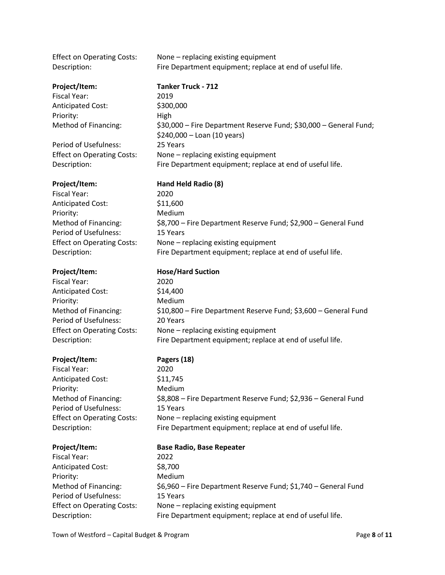| <b>Effect on Operating Costs:</b><br>Description: | None - replacing existing equipment<br>Fire Department equipment; replace at end of useful life. |
|---------------------------------------------------|--------------------------------------------------------------------------------------------------|
| Project/Item:                                     | <b>Tanker Truck - 712</b>                                                                        |
| Fiscal Year:                                      | 2019                                                                                             |
| <b>Anticipated Cost:</b>                          | \$300,000                                                                                        |
| Priority:                                         | High                                                                                             |
| Method of Financing:                              | \$30,000 - Fire Department Reserve Fund; \$30,000 - General Fund;<br>\$240,000 - Loan (10 years) |
| Period of Usefulness:                             | 25 Years                                                                                         |
| <b>Effect on Operating Costs:</b><br>Description: | None - replacing existing equipment<br>Fire Department equipment; replace at end of useful life. |
| Project/Item:                                     | Hand Held Radio (8)                                                                              |
| <b>Fiscal Year:</b>                               | 2020                                                                                             |
| <b>Anticipated Cost:</b>                          | \$11,600                                                                                         |
| Priority:                                         | Medium                                                                                           |
| Method of Financing:                              | \$8,700 - Fire Department Reserve Fund; \$2,900 - General Fund                                   |
| Period of Usefulness:                             | 15 Years                                                                                         |
| <b>Effect on Operating Costs:</b>                 | None - replacing existing equipment                                                              |
| Description:                                      | Fire Department equipment; replace at end of useful life.                                        |
| Project/Item:                                     | <b>Hose/Hard Suction</b>                                                                         |
| Fiscal Year:                                      | 2020                                                                                             |
| <b>Anticipated Cost:</b>                          | \$14,400                                                                                         |
| Priority:                                         | Medium                                                                                           |
| Method of Financing:                              | \$10,800 - Fire Department Reserve Fund; \$3,600 - General Fund                                  |
| Period of Usefulness:                             | 20 Years                                                                                         |
| <b>Effect on Operating Costs:</b>                 | None - replacing existing equipment                                                              |
| Description:                                      | Fire Department equipment; replace at end of useful life.                                        |
| Project/Item:                                     | Pagers (18)                                                                                      |
| <b>Fiscal Year:</b>                               | 2020                                                                                             |
| <b>Anticipated Cost:</b>                          | \$11,745                                                                                         |
| Priority:                                         | Medium                                                                                           |
| Method of Financing:                              | \$8,808 - Fire Department Reserve Fund; \$2,936 - General Fund                                   |
| Period of Usefulness:                             | 15 Years                                                                                         |
| <b>Effect on Operating Costs:</b>                 | None - replacing existing equipment                                                              |
| Description:                                      | Fire Department equipment; replace at end of useful life.                                        |
| Project/Item:                                     | <b>Base Radio, Base Repeater</b>                                                                 |
| Fiscal Year:                                      | 2022                                                                                             |
| Anticipated Cost:                                 | \$8,700                                                                                          |
| Priority:                                         | Medium                                                                                           |
| Method of Financing:                              | \$6,960 - Fire Department Reserve Fund; \$1,740 - General Fund                                   |
| Period of Usefulness:                             | 15 Years                                                                                         |
| <b>Effect on Operating Costs:</b>                 | None - replacing existing equipment                                                              |
| Description:                                      | Fire Department equipment; replace at end of useful life.                                        |
|                                                   |                                                                                                  |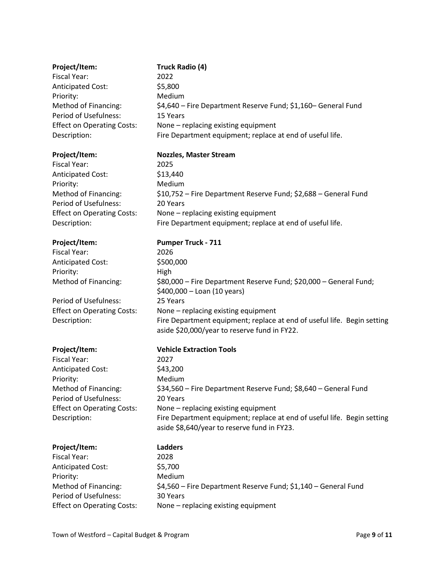| Project/Item:                                 | <b>Truck Radio (4)</b>                                                                                                  |
|-----------------------------------------------|-------------------------------------------------------------------------------------------------------------------------|
| <b>Fiscal Year:</b>                           | 2022                                                                                                                    |
| <b>Anticipated Cost:</b>                      | \$5,800                                                                                                                 |
| Priority:                                     | Medium                                                                                                                  |
| Method of Financing:                          | \$4,640 – Fire Department Reserve Fund; \$1,160– General Fund                                                           |
| Period of Usefulness:                         | 15 Years                                                                                                                |
| <b>Effect on Operating Costs:</b>             | None - replacing existing equipment                                                                                     |
| Description:                                  | Fire Department equipment; replace at end of useful life.                                                               |
| Project/Item:                                 | <b>Nozzles, Master Stream</b>                                                                                           |
| <b>Fiscal Year:</b>                           | 2025                                                                                                                    |
| <b>Anticipated Cost:</b>                      | \$13,440                                                                                                                |
| Priority:                                     | Medium                                                                                                                  |
| Method of Financing:                          | \$10,752 – Fire Department Reserve Fund; \$2,688 – General Fund                                                         |
| Period of Usefulness:                         | 20 Years                                                                                                                |
| <b>Effect on Operating Costs:</b>             | None - replacing existing equipment                                                                                     |
| Description:                                  | Fire Department equipment; replace at end of useful life.                                                               |
| Project/Item:                                 | <b>Pumper Truck - 711</b>                                                                                               |
| <b>Fiscal Year:</b>                           | 2026                                                                                                                    |
| Anticipated Cost:                             | \$500,000                                                                                                               |
| Priority:                                     | High                                                                                                                    |
| Method of Financing:                          | \$80,000 - Fire Department Reserve Fund; \$20,000 - General Fund;<br>\$400,000 - Loan (10 years)                        |
| Period of Usefulness:                         | 25 Years                                                                                                                |
| <b>Effect on Operating Costs:</b>             | None - replacing existing equipment                                                                                     |
| Description:                                  | Fire Department equipment; replace at end of useful life. Begin setting<br>aside \$20,000/year to reserve fund in FY22. |
| Project/Item:                                 | <b>Vehicle Extraction Tools</b>                                                                                         |
| <b>Fiscal Year:</b>                           | 2027                                                                                                                    |
| <b>Anticipated Cost:</b>                      | \$43,200                                                                                                                |
| Priority:                                     | Medium                                                                                                                  |
| Method of Financing:                          | \$34,560 - Fire Department Reserve Fund; \$8,640 - General Fund                                                         |
| Period of Usefulness:                         | 20 Years                                                                                                                |
| <b>Effect on Operating Costs:</b>             | None - replacing existing equipment                                                                                     |
| Description:                                  | Fire Department equipment; replace at end of useful life. Begin setting                                                 |
|                                               | aside \$8,640/year to reserve fund in FY23.                                                                             |
| Project/Item:                                 | <b>Ladders</b>                                                                                                          |
| <b>Fiscal Year:</b>                           | 2028                                                                                                                    |
| <b>Anticipated Cost:</b>                      | \$5,700                                                                                                                 |
| Priority:                                     | Medium                                                                                                                  |
| Method of Financing:<br>Period of Usefulness: | \$4,560 - Fire Department Reserve Fund; \$1,140 - General Fund<br>30 Years                                              |
| <b>Effect on Operating Costs:</b>             | None - replacing existing equipment                                                                                     |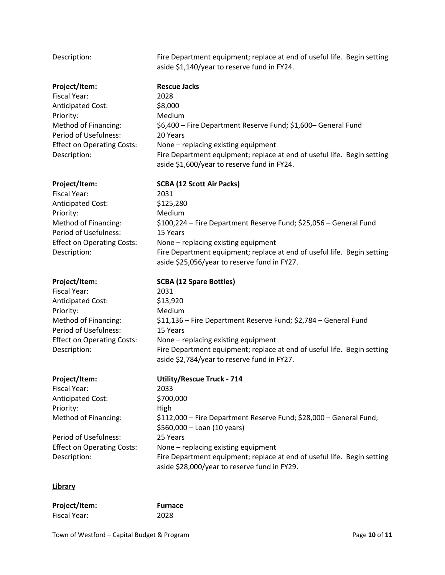| Description:                                                                                                                                                                               | Fire Department equipment; replace at end of useful life. Begin setting<br>aside \$1,140/year to reserve fund in FY24.                                                                                                                                                                                                                            |
|--------------------------------------------------------------------------------------------------------------------------------------------------------------------------------------------|---------------------------------------------------------------------------------------------------------------------------------------------------------------------------------------------------------------------------------------------------------------------------------------------------------------------------------------------------|
| Project/Item:<br><b>Fiscal Year:</b><br><b>Anticipated Cost:</b><br>Priority:<br>Method of Financing:<br>Period of Usefulness:<br><b>Effect on Operating Costs:</b><br>Description:        | <b>Rescue Jacks</b><br>2028<br>\$8,000<br>Medium<br>\$6,400 - Fire Department Reserve Fund; \$1,600 - General Fund<br>20 Years<br>None - replacing existing equipment<br>Fire Department equipment; replace at end of useful life. Begin setting<br>aside \$1,600/year to reserve fund in FY24.                                                   |
| Project/Item:<br><b>Fiscal Year:</b><br><b>Anticipated Cost:</b><br>Priority:<br>Method of Financing:<br><b>Period of Usefulness:</b><br><b>Effect on Operating Costs:</b><br>Description: | <b>SCBA (12 Scott Air Packs)</b><br>2031<br>\$125,280<br>Medium<br>\$100,224 – Fire Department Reserve Fund; \$25,056 – General Fund<br>15 Years<br>None - replacing existing equipment<br>Fire Department equipment; replace at end of useful life. Begin setting<br>aside \$25,056/year to reserve fund in FY27.                                |
| Project/Item:<br><b>Fiscal Year:</b><br><b>Anticipated Cost:</b><br>Priority:<br>Method of Financing:<br><b>Period of Usefulness:</b><br><b>Effect on Operating Costs:</b><br>Description: | <b>SCBA (12 Spare Bottles)</b><br>2031<br>\$13,920<br>Medium<br>\$11,136 - Fire Department Reserve Fund; \$2,784 - General Fund<br>15 Years<br>None - replacing existing equipment<br>Fire Department equipment; replace at end of useful life. Begin setting<br>aside \$2,784/year to reserve fund in FY27.                                      |
| Project/Item:<br><b>Fiscal Year:</b><br><b>Anticipated Cost:</b><br>Priority:<br>Method of Financing:<br><b>Period of Usefulness:</b><br><b>Effect on Operating Costs:</b><br>Description: | <b>Utility/Rescue Truck - 714</b><br>2033<br>\$700,000<br>High<br>\$112,000 - Fire Department Reserve Fund; \$28,000 - General Fund;<br>\$560,000 - Loan (10 years)<br>25 Years<br>None - replacing existing equipment<br>Fire Department equipment; replace at end of useful life. Begin setting<br>aside \$28,000/year to reserve fund in FY29. |

### **Library**

| Project/Item: | <b>Furnace</b> |
|---------------|----------------|
| Fiscal Year:  | 2028           |